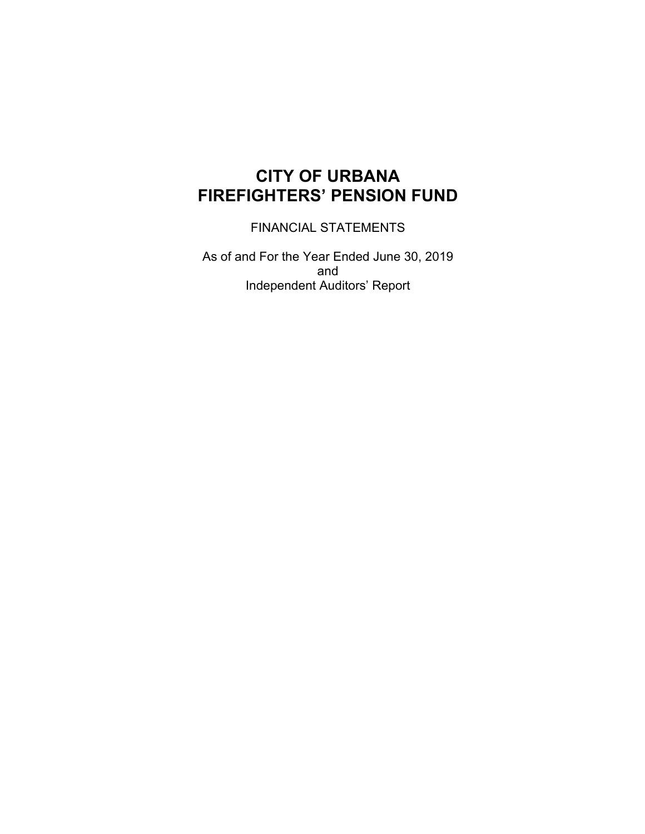FINANCIAL STATEMENTS

As of and For the Year Ended June 30, 2019 and Independent Auditors' Report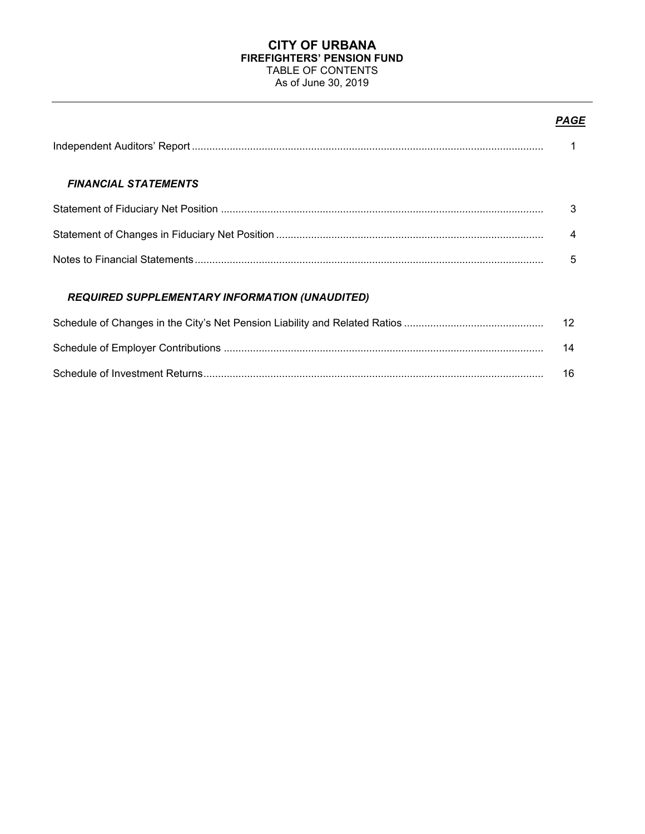### **CITY OF URBANA FIREFIGHTERS' PENSION FUND** TABLE OF CONTENTS As of June 30, 2019

# *PAGE*

| <b>FINANCIAL STATEMENTS</b>                           |    |
|-------------------------------------------------------|----|
|                                                       | 3  |
|                                                       | 4  |
|                                                       | 5  |
| <b>REQUIRED SUPPLEMENTARY INFORMATION (UNAUDITED)</b> |    |
|                                                       | 12 |
|                                                       | 14 |
|                                                       | 16 |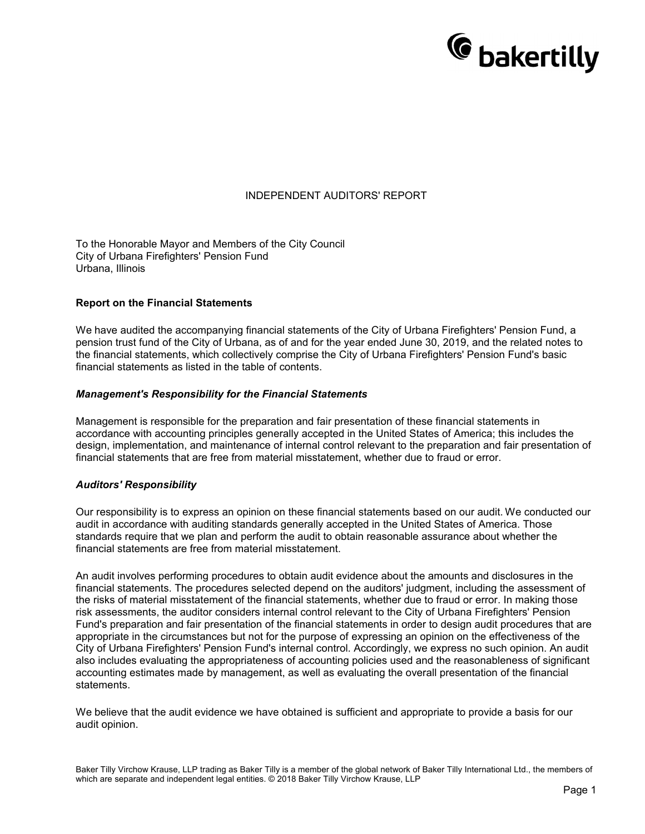

### INDEPENDENT AUDITORS' REPORT

To the Honorable Mayor and Members of the City Council City of Urbana Firefighters' Pension Fund Urbana, Illinois

#### **Report on the Financial Statements**

We have audited the accompanying financial statements of the City of Urbana Firefighters' Pension Fund, a pension trust fund of the City of Urbana, as of and for the year ended June 30, 2019, and the related notes to the financial statements, which collectively comprise the City of Urbana Firefighters' Pension Fund's basic financial statements as listed in the table of contents.

#### *Management's Responsibility for the Financial Statements*

Management is responsible for the preparation and fair presentation of these financial statements in accordance with accounting principles generally accepted in the United States of America; this includes the design, implementation, and maintenance of internal control relevant to the preparation and fair presentation of financial statements that are free from material misstatement, whether due to fraud or error.

#### *Auditors' Responsibility*

Our responsibility is to express an opinion on these financial statements based on our audit. We conducted our audit in accordance with auditing standards generally accepted in the United States of America. Those standards require that we plan and perform the audit to obtain reasonable assurance about whether the financial statements are free from material misstatement.

An audit involves performing procedures to obtain audit evidence about the amounts and disclosures in the financial statements. The procedures selected depend on the auditors' judgment, including the assessment of the risks of material misstatement of the financial statements, whether due to fraud or error. In making those risk assessments, the auditor considers internal control relevant to the City of Urbana Firefighters' Pension Fund's preparation and fair presentation of the financial statements in order to design audit procedures that are appropriate in the circumstances but not for the purpose of expressing an opinion on the effectiveness of the City of Urbana Firefighters' Pension Fund's internal control. Accordingly, we express no such opinion. An audit also includes evaluating the appropriateness of accounting policies used and the reasonableness of significant accounting estimates made by management, as well as evaluating the overall presentation of the financial statements.

We believe that the audit evidence we have obtained is sufficient and appropriate to provide a basis for our audit opinion.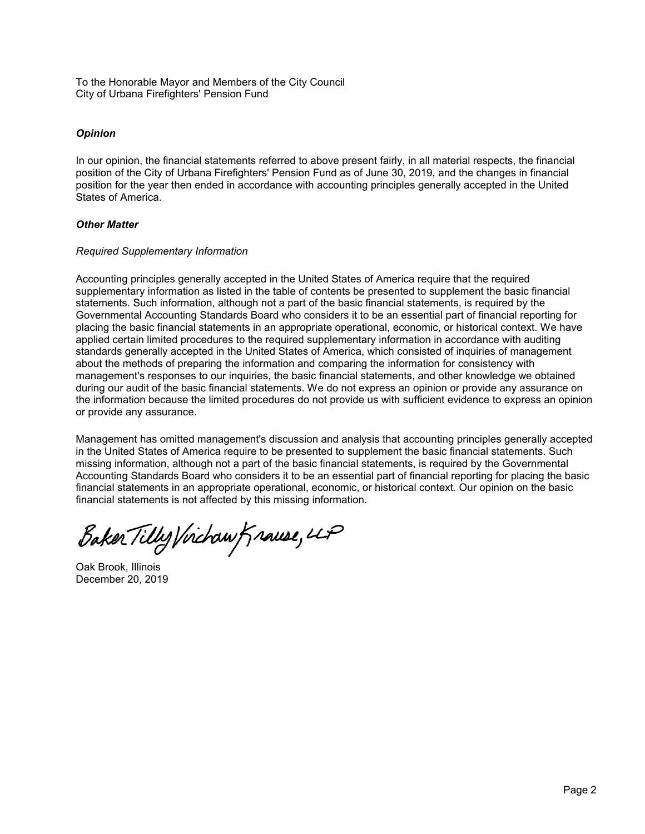To the Honorable Mayor and Members of the City Council City of Urbana Firefighters' Pension Fund

## *Opinion*

In our opinion, the financial statements referred to above present fairly, in all material respects, the financial position of the City of Urbana Firefighters' Pension Fund as of June 30, 2019, and the changes in financial position for the year then ended in accordance with accounting principles generally accepted in the United States of America.

### *Other Matter*

### *Required Supplementary Information*

Accounting principles generally accepted in the United States of America require that the required supplementary information as listed in the table of contents be presented to supplement the basic financial statements. Such information, although not a part of the basic financial statements, is required by the Governmental Accounting Standards Board who considers it to be an essential part of financial reporting for placing the basic financial statements in an appropriate operational, economic, or historical context. We have applied certain limited procedures to the required supplementary information in accordance with auditing standards generally accepted in the United States of America, which consisted of inquiries of management about the methods of preparing the information and comparing the information for consistency with management's responses to our inquiries, the basic financial statements, and other knowledge we obtained during our audit of the basic financial statements. We do not express an opinion or provide any assurance on the information because the limited procedures do not provide us with sufficient evidence to express an opinion or provide any assurance.

Management has omitted management's discussion and analysis that accounting principles generally accepted in the United States of America require to be presented to supplement the basic financial statements. Such missing information, although not a part of the basic financial statements, is required by the Governmental Accounting Standards Board who considers it to be an essential part of financial reporting for placing the basic financial statements in an appropriate operational, economic, or historical context. Our opinion on the basic financial statements is not affected by this missing information.

Baker Tilly Virchaw Krause, LLP

Oak Brook, Illinois December 20, 2019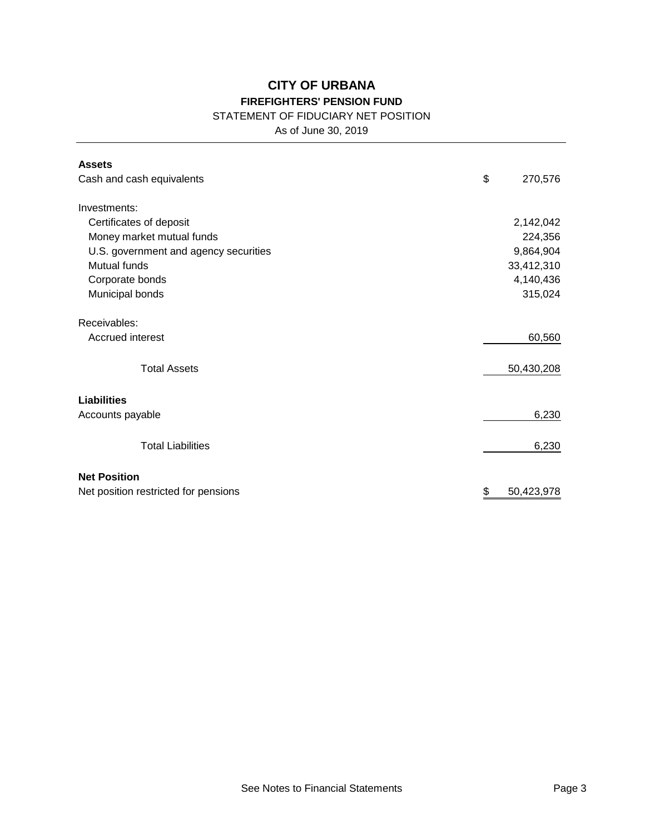# STATEMENT OF FIDUCIARY NET POSITION

As of June 30, 2019

| <b>Assets</b>                         |                  |
|---------------------------------------|------------------|
| Cash and cash equivalents             | \$<br>270,576    |
| Investments:                          |                  |
| Certificates of deposit               | 2,142,042        |
|                                       |                  |
| Money market mutual funds             | 224,356          |
| U.S. government and agency securities | 9,864,904        |
| Mutual funds                          | 33,412,310       |
| Corporate bonds                       | 4,140,436        |
| Municipal bonds                       | 315,024          |
| Receivables:                          |                  |
| <b>Accrued interest</b>               |                  |
|                                       | 60,560           |
| <b>Total Assets</b>                   | 50,430,208       |
| <b>Liabilities</b>                    |                  |
| Accounts payable                      | 6,230            |
| <b>Total Liabilities</b>              | 6,230            |
| <b>Net Position</b>                   |                  |
| Net position restricted for pensions  | \$<br>50,423,978 |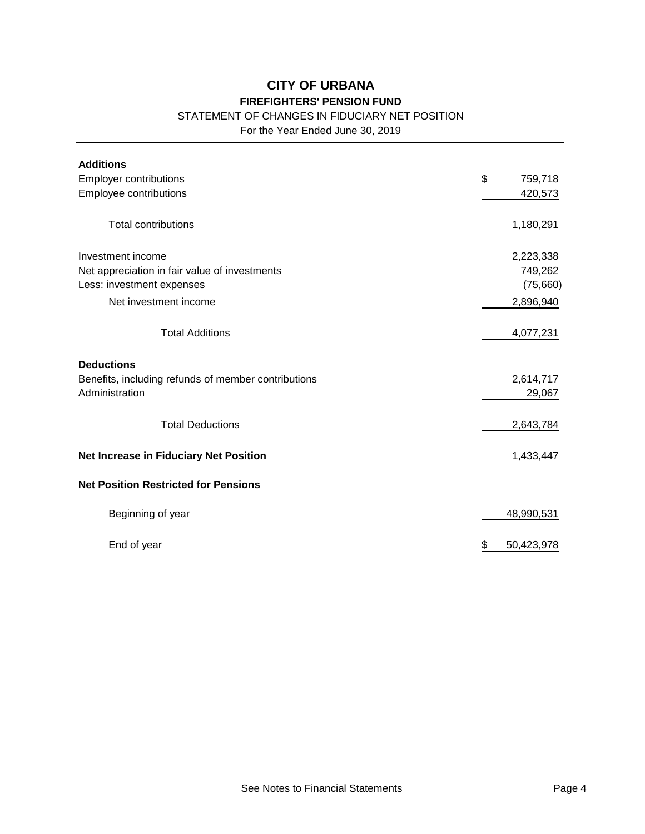# STATEMENT OF CHANGES IN FIDUCIARY NET POSITION

For the Year Ended June 30, 2019

| <b>Additions</b>                                    |                             |
|-----------------------------------------------------|-----------------------------|
| Employer contributions                              | \$<br>759,718               |
| Employee contributions                              | 420,573                     |
|                                                     |                             |
| <b>Total contributions</b>                          | 1,180,291                   |
|                                                     |                             |
| Investment income                                   | 2,223,338                   |
| Net appreciation in fair value of investments       | 749,262                     |
| Less: investment expenses                           | (75,660)                    |
| Net investment income                               | 2,896,940                   |
|                                                     |                             |
| <b>Total Additions</b>                              | 4,077,231                   |
|                                                     |                             |
| <b>Deductions</b>                                   |                             |
| Benefits, including refunds of member contributions | 2,614,717                   |
| Administration                                      | 29,067                      |
|                                                     |                             |
| <b>Total Deductions</b>                             | 2,643,784                   |
|                                                     |                             |
| <b>Net Increase in Fiduciary Net Position</b>       | 1,433,447                   |
|                                                     |                             |
| <b>Net Position Restricted for Pensions</b>         |                             |
| Beginning of year                                   | 48,990,531                  |
|                                                     |                             |
| End of year                                         | $\frac{6}{5}$<br>50,423,978 |
|                                                     |                             |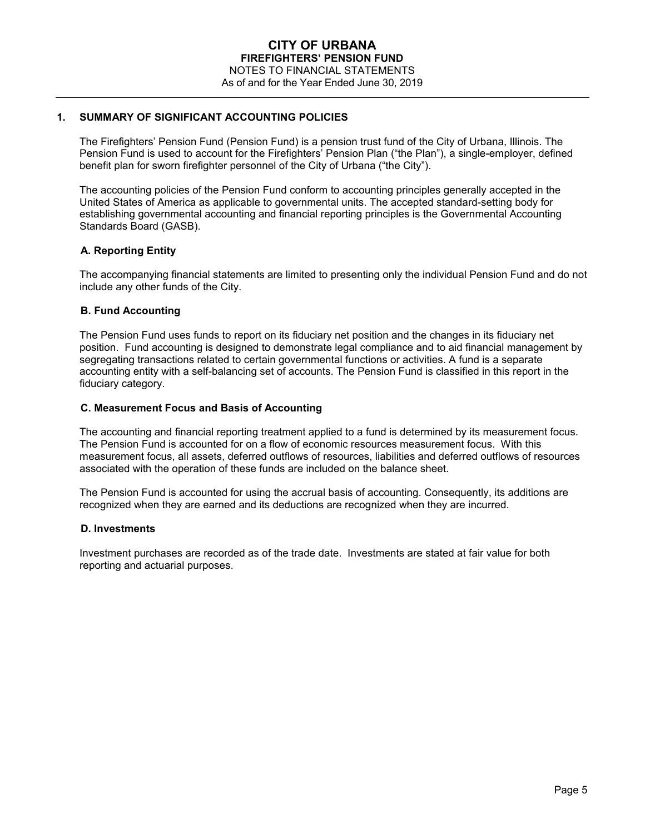### **1. SUMMARY OF SIGNIFICANT ACCOUNTING POLICIES**

The Firefighters' Pension Fund (Pension Fund) is a pension trust fund of the City of Urbana, Illinois. The Pension Fund is used to account for the Firefighters' Pension Plan ("the Plan"), a single-employer, defined benefit plan for sworn firefighter personnel of the City of Urbana ("the City").

The accounting policies of the Pension Fund conform to accounting principles generally accepted in the United States of America as applicable to governmental units. The accepted standard-setting body for establishing governmental accounting and financial reporting principles is the Governmental Accounting Standards Board (GASB).

### **A. Reporting Entity**

The accompanying financial statements are limited to presenting only the individual Pension Fund and do not include any other funds of the City.

### **B. Fund Accounting**

The Pension Fund uses funds to report on its fiduciary net position and the changes in its fiduciary net position. Fund accounting is designed to demonstrate legal compliance and to aid financial management by segregating transactions related to certain governmental functions or activities. A fund is a separate accounting entity with a self-balancing set of accounts. The Pension Fund is classified in this report in the fiduciary category.

### **C. Measurement Focus and Basis of Accounting**

The accounting and financial reporting treatment applied to a fund is determined by its measurement focus. The Pension Fund is accounted for on a flow of economic resources measurement focus. With this measurement focus, all assets, deferred outflows of resources, liabilities and deferred outflows of resources associated with the operation of these funds are included on the balance sheet.

The Pension Fund is accounted for using the accrual basis of accounting. Consequently, its additions are recognized when they are earned and its deductions are recognized when they are incurred.

#### **D. Investments**

Investment purchases are recorded as of the trade date. Investments are stated at fair value for both reporting and actuarial purposes.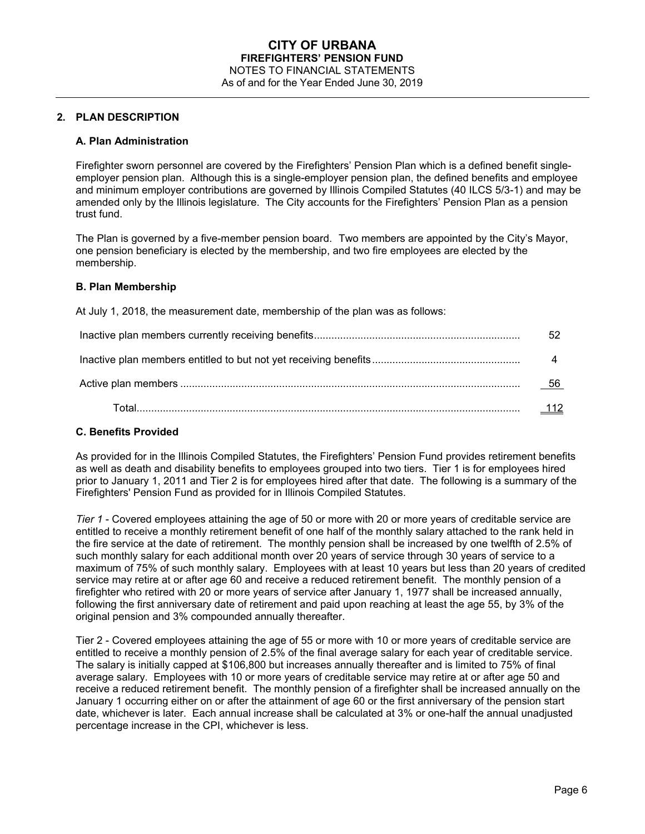### **2. PLAN DESCRIPTION**

#### **A. Plan Administration**

Firefighter sworn personnel are covered by the Firefighters' Pension Plan which is a defined benefit singleemployer pension plan. Although this is a single-employer pension plan, the defined benefits and employee and minimum employer contributions are governed by Illinois Compiled Statutes (40 ILCS 5/3-1) and may be amended only by the Illinois legislature. The City accounts for the Firefighters' Pension Plan as a pension trust fund.

The Plan is governed by a five-member pension board. Two members are appointed by the City's Mayor, one pension beneficiary is elected by the membership, and two fire employees are elected by the membership.

### **B. Plan Membership**

At July 1, 2018, the measurement date, membership of the plan was as follows:

| 4      |
|--------|
| - 56   |
| $-112$ |

#### **C. Benefits Provided**

As provided for in the Illinois Compiled Statutes, the Firefighters' Pension Fund provides retirement benefits as well as death and disability benefits to employees grouped into two tiers. Tier 1 is for employees hired prior to January 1, 2011 and Tier 2 is for employees hired after that date. The following is a summary of the Firefighters' Pension Fund as provided for in Illinois Compiled Statutes.

*Tier 1* - Covered employees attaining the age of 50 or more with 20 or more years of creditable service are entitled to receive a monthly retirement benefit of one half of the monthly salary attached to the rank held in the fire service at the date of retirement. The monthly pension shall be increased by one twelfth of 2.5% of such monthly salary for each additional month over 20 years of service through 30 years of service to a maximum of 75% of such monthly salary. Employees with at least 10 years but less than 20 years of credited service may retire at or after age 60 and receive a reduced retirement benefit. The monthly pension of a firefighter who retired with 20 or more years of service after January 1, 1977 shall be increased annually, following the first anniversary date of retirement and paid upon reaching at least the age 55, by 3% of the original pension and 3% compounded annually thereafter.

Tier 2 - Covered employees attaining the age of 55 or more with 10 or more years of creditable service are entitled to receive a monthly pension of 2.5% of the final average salary for each year of creditable service. The salary is initially capped at \$106,800 but increases annually thereafter and is limited to 75% of final average salary. Employees with 10 or more years of creditable service may retire at or after age 50 and receive a reduced retirement benefit. The monthly pension of a firefighter shall be increased annually on the January 1 occurring either on or after the attainment of age 60 or the first anniversary of the pension start date, whichever is later. Each annual increase shall be calculated at 3% or one-half the annual unadjusted percentage increase in the CPI, whichever is less.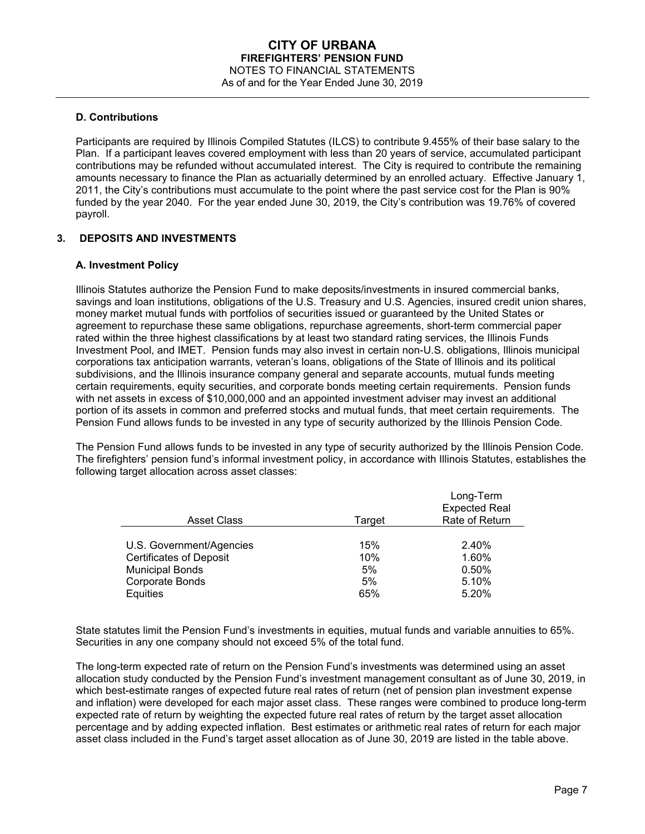### **D. Contributions**

Participants are required by Illinois Compiled Statutes (ILCS) to contribute 9.455% of their base salary to the Plan. If a participant leaves covered employment with less than 20 years of service, accumulated participant contributions may be refunded without accumulated interest. The City is required to contribute the remaining amounts necessary to finance the Plan as actuarially determined by an enrolled actuary. Effective January 1, 2011, the City's contributions must accumulate to the point where the past service cost for the Plan is 90% funded by the year 2040. For the year ended June 30, 2019, the City's contribution was 19.76% of covered payroll.

## **3. DEPOSITS AND INVESTMENTS**

### **A. Investment Policy**

Illinois Statutes authorize the Pension Fund to make deposits/investments in insured commercial banks, savings and loan institutions, obligations of the U.S. Treasury and U.S. Agencies, insured credit union shares, money market mutual funds with portfolios of securities issued or guaranteed by the United States or agreement to repurchase these same obligations, repurchase agreements, short-term commercial paper rated within the three highest classifications by at least two standard rating services, the Illinois Funds Investment Pool, and IMET. Pension funds may also invest in certain non-U.S. obligations, Illinois municipal corporations tax anticipation warrants, veteran's loans, obligations of the State of Illinois and its political subdivisions, and the Illinois insurance company general and separate accounts, mutual funds meeting certain requirements, equity securities, and corporate bonds meeting certain requirements. Pension funds with net assets in excess of \$10,000,000 and an appointed investment adviser may invest an additional portion of its assets in common and preferred stocks and mutual funds, that meet certain requirements. The Pension Fund allows funds to be invested in any type of security authorized by the Illinois Pension Code.

The Pension Fund allows funds to be invested in any type of security authorized by the Illinois Pension Code. The firefighters' pension fund's informal investment policy, in accordance with Illinois Statutes, establishes the following target allocation across asset classes:

| <b>Asset Class</b>             | Target | Long-Term<br><b>Expected Real</b><br>Rate of Return |
|--------------------------------|--------|-----------------------------------------------------|
|                                |        |                                                     |
| U.S. Government/Agencies       | 15%    | 2.40%                                               |
| <b>Certificates of Deposit</b> | 10%    | 1.60%                                               |
| <b>Municipal Bonds</b>         | 5%     | 0.50%                                               |
| Corporate Bonds                | 5%     | 5.10%                                               |
| Equities                       | 65%    | 5.20%                                               |

State statutes limit the Pension Fund's investments in equities, mutual funds and variable annuities to 65%. Securities in any one company should not exceed 5% of the total fund.

The long-term expected rate of return on the Pension Fund's investments was determined using an asset allocation study conducted by the Pension Fund's investment management consultant as of June 30, 2019, in which best-estimate ranges of expected future real rates of return (net of pension plan investment expense and inflation) were developed for each major asset class. These ranges were combined to produce long-term expected rate of return by weighting the expected future real rates of return by the target asset allocation percentage and by adding expected inflation. Best estimates or arithmetic real rates of return for each major asset class included in the Fund's target asset allocation as of June 30, 2019 are listed in the table above.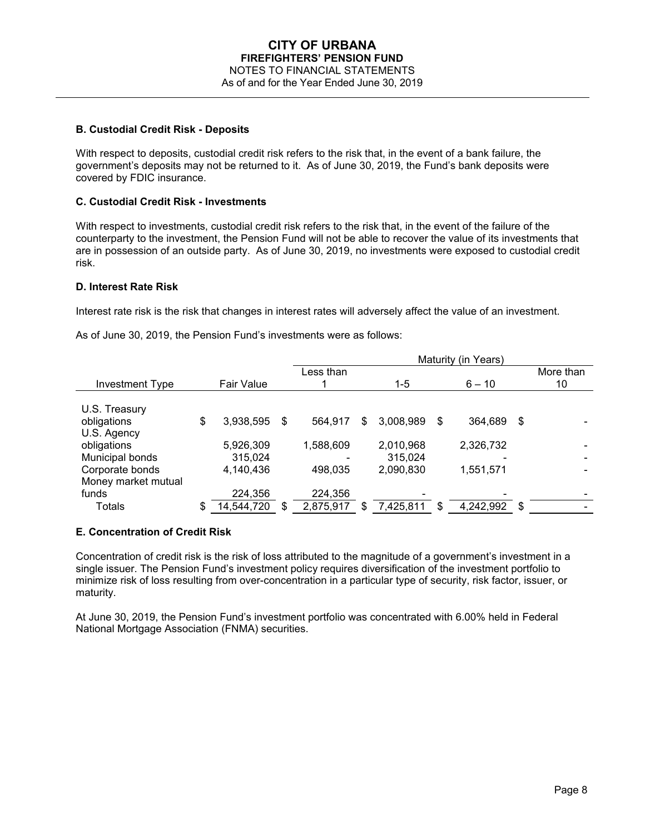### **B. Custodial Credit Risk - Deposits**

With respect to deposits, custodial credit risk refers to the risk that, in the event of a bank failure, the government's deposits may not be returned to it. As of June 30, 2019, the Fund's bank deposits were covered by FDIC insurance.

### **C. Custodial Credit Risk - Investments**

With respect to investments, custodial credit risk refers to the risk that, in the event of the failure of the counterparty to the investment, the Pension Fund will not be able to recover the value of its investments that are in possession of an outside party. As of June 30, 2019, no investments were exposed to custodial credit risk.

### **D. Interest Rate Risk**

Interest rate risk is the risk that changes in interest rates will adversely affect the value of an investment.

As of June 30, 2019, the Pension Fund's investments were as follows:

|                     |                   | Maturity (in Years) |    |           |    |           |    |           |
|---------------------|-------------------|---------------------|----|-----------|----|-----------|----|-----------|
|                     |                   | Less than           |    |           |    |           |    | More than |
| Investment Type     | <b>Fair Value</b> |                     |    | $1 - 5$   |    | $6 - 10$  |    | 10        |
|                     |                   |                     |    |           |    |           |    |           |
| U.S. Treasury       |                   |                     |    |           |    |           |    |           |
| obligations         | \$<br>3,938,595   | \$<br>564.917       | \$ | 3,008,989 | \$ | 364,689   | \$ |           |
| U.S. Agency         |                   |                     |    |           |    |           |    |           |
| obligations         | 5,926,309         | 1,588,609           |    | 2,010,968 |    | 2,326,732 |    |           |
| Municipal bonds     | 315,024           |                     |    | 315,024   |    |           |    |           |
| Corporate bonds     | 4,140,436         | 498,035             |    | 2,090,830 |    | 1,551,571 |    |           |
| Money market mutual |                   |                     |    |           |    |           |    |           |
| funds               | 224,356           | 224,356             |    |           |    |           |    |           |
| <b>Totals</b>       | \$<br>14,544,720  | \$<br>2,875,917     | S  | 7,425,811 | \$ | 4,242,992 | \$ |           |

#### **E. Concentration of Credit Risk**

Concentration of credit risk is the risk of loss attributed to the magnitude of a government's investment in a single issuer. The Pension Fund's investment policy requires diversification of the investment portfolio to minimize risk of loss resulting from over-concentration in a particular type of security, risk factor, issuer, or maturity.

At June 30, 2019, the Pension Fund's investment portfolio was concentrated with 6.00% held in Federal National Mortgage Association (FNMA) securities.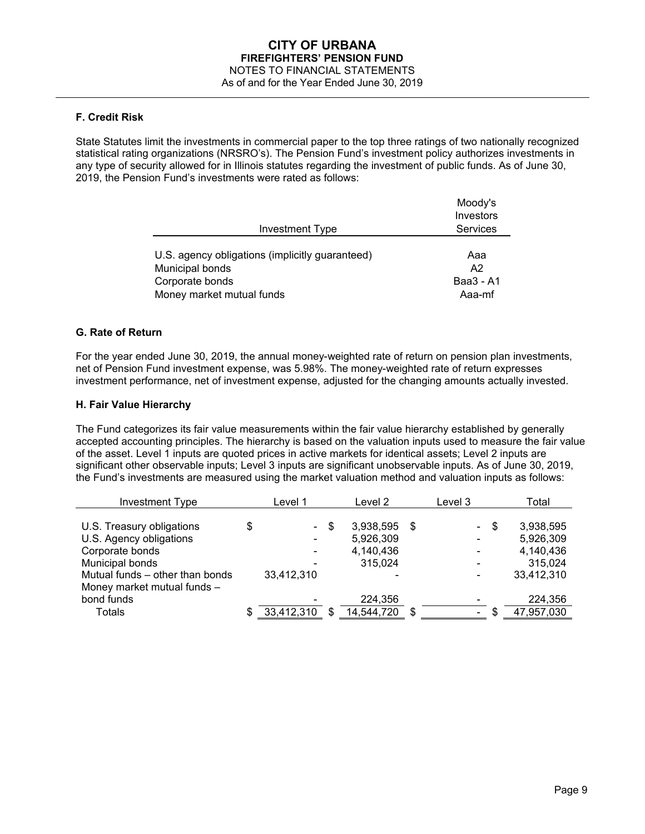## **F. Credit Risk**

State Statutes limit the investments in commercial paper to the top three ratings of two nationally recognized statistical rating organizations (NRSRO's). The Pension Fund's investment policy authorizes investments in any type of security allowed for in Illinois statutes regarding the investment of public funds. As of June 30, 2019, the Pension Fund's investments were rated as follows:

|                                                 | Moody's<br>Investors |
|-------------------------------------------------|----------------------|
| Investment Type                                 | Services             |
|                                                 |                      |
| U.S. agency obligations (implicitly guaranteed) | Aaa                  |
| Municipal bonds                                 | A2                   |
| Corporate bonds                                 | Baa3 - A1            |
| Money market mutual funds                       | Aaa-mf               |

#### **G. Rate of Return**

For the year ended June 30, 2019, the annual money-weighted rate of return on pension plan investments, net of Pension Fund investment expense, was 5.98%. The money-weighted rate of return expresses investment performance, net of investment expense, adjusted for the changing amounts actually invested.

#### **H. Fair Value Hierarchy**

The Fund categorizes its fair value measurements within the fair value hierarchy established by generally accepted accounting principles. The hierarchy is based on the valuation inputs used to measure the fair value of the asset. Level 1 inputs are quoted prices in active markets for identical assets; Level 2 inputs are significant other observable inputs; Level 3 inputs are significant unobservable inputs. As of June 30, 2019, the Fund's investments are measured using the market valuation method and valuation inputs as follows:

| Investment Type                 | Level 1 |            | Level 2 |            |      | Level 3        |    | Total      |
|---------------------------------|---------|------------|---------|------------|------|----------------|----|------------|
|                                 |         |            |         |            |      |                |    |            |
| U.S. Treasury obligations       | \$      |            | - \$    | 3,938,595  | - \$ | $\blacksquare$ | \$ | 3,938,595  |
| U.S. Agency obligations         |         |            |         | 5,926,309  |      | ۰              |    | 5,926,309  |
| Corporate bonds                 |         |            |         | 4,140,436  |      | -              |    | 4,140,436  |
| Municipal bonds                 |         |            |         | 315,024    |      | ۰              |    | 315,024    |
| Mutual funds – other than bonds |         | 33,412,310 |         |            |      | ۰              |    | 33,412,310 |
| Money market mutual funds -     |         |            |         |            |      |                |    |            |
| bond funds                      |         |            |         | 224,356    |      |                |    | 224,356    |
| <b>Totals</b>                   | \$.     | 33,412,310 | S       | 14,544,720 | \$   | -              |    | 47,957,030 |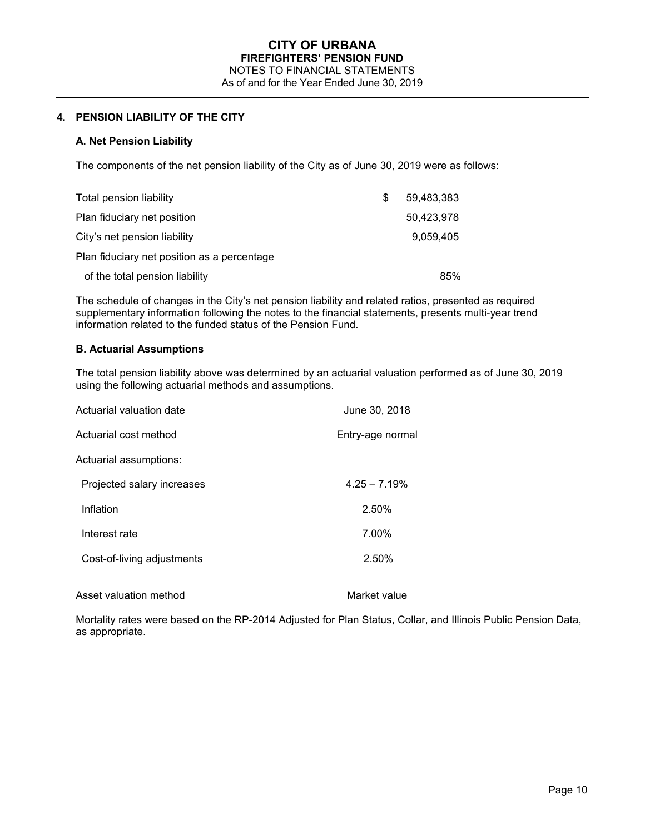# **4. PENSION LIABILITY OF THE CITY**

#### **A. Net Pension Liability**

The components of the net pension liability of the City as of June 30, 2019 were as follows:

| Total pension liability                     | \$. | 59.483.383 |  |
|---------------------------------------------|-----|------------|--|
| Plan fiduciary net position                 |     | 50,423,978 |  |
| City's net pension liability                |     | 9.059.405  |  |
| Plan fiduciary net position as a percentage |     |            |  |
| of the total pension liability              |     | 85%        |  |

The schedule of changes in the City's net pension liability and related ratios, presented as required supplementary information following the notes to the financial statements, presents multi-year trend information related to the funded status of the Pension Fund.

### **B. Actuarial Assumptions**

The total pension liability above was determined by an actuarial valuation performed as of June 30, 2019 using the following actuarial methods and assumptions.

| Actuarial valuation date   | June 30, 2018    |
|----------------------------|------------------|
| Actuarial cost method      | Entry-age normal |
| Actuarial assumptions:     |                  |
| Projected salary increases | $4.25 - 7.19%$   |
| Inflation                  | 2.50%            |
| Interest rate              | 7.00%            |
| Cost-of-living adjustments | 2.50%            |
|                            |                  |

Asset valuation method Market value

Mortality rates were based on the RP-2014 Adjusted for Plan Status, Collar, and Illinois Public Pension Data, as appropriate.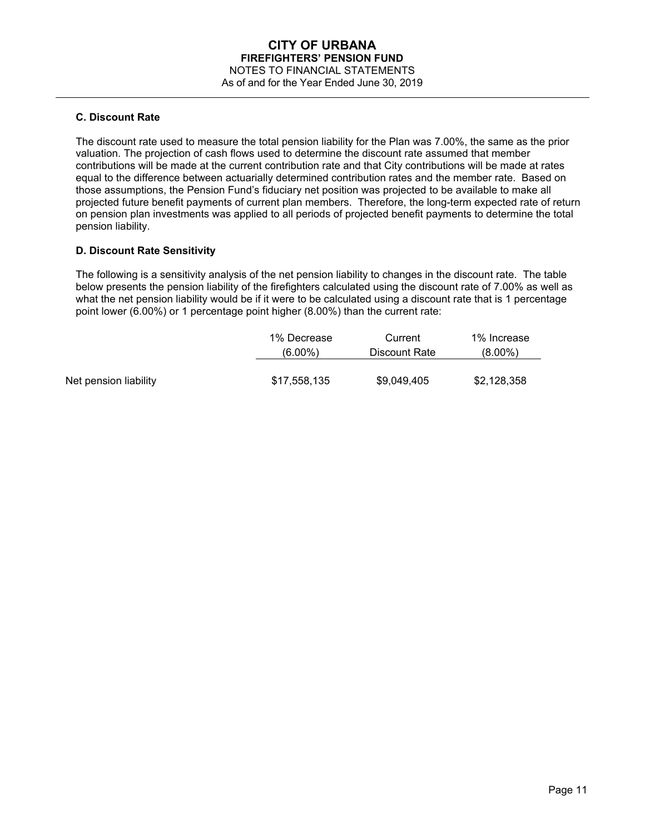### **C. Discount Rate**

The discount rate used to measure the total pension liability for the Plan was 7.00%, the same as the prior valuation. The projection of cash flows used to determine the discount rate assumed that member contributions will be made at the current contribution rate and that City contributions will be made at rates equal to the difference between actuarially determined contribution rates and the member rate. Based on those assumptions, the Pension Fund's fiduciary net position was projected to be available to make all projected future benefit payments of current plan members. Therefore, the long-term expected rate of return on pension plan investments was applied to all periods of projected benefit payments to determine the total pension liability.

## **D. Discount Rate Sensitivity**

The following is a sensitivity analysis of the net pension liability to changes in the discount rate. The table below presents the pension liability of the firefighters calculated using the discount rate of 7.00% as well as what the net pension liability would be if it were to be calculated using a discount rate that is 1 percentage point lower (6.00%) or 1 percentage point higher (8.00%) than the current rate:

|                       | 1% Decrease  | Current       | 1% Increase |
|-----------------------|--------------|---------------|-------------|
|                       | $(6.00\%)$   | Discount Rate | $(8.00\%)$  |
| Net pension liability | \$17,558,135 | \$9,049,405   | \$2,128,358 |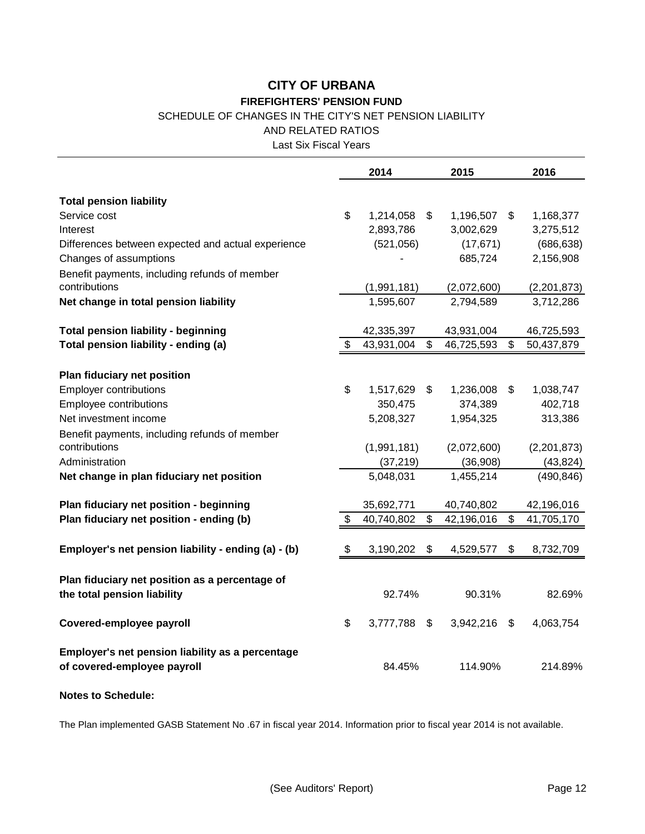#### SCHEDULE OF CHANGES IN THE CITY'S NET PENSION LIABILITY

AND RELATED RATIOS

Last Six Fiscal Years

|                                                                | 2014                     |    | 2015                     |                           | 2016                     |
|----------------------------------------------------------------|--------------------------|----|--------------------------|---------------------------|--------------------------|
|                                                                |                          |    |                          |                           |                          |
| <b>Total pension liability</b><br>Service cost                 | \$                       |    |                          | $\boldsymbol{\mathsf{S}}$ |                          |
|                                                                | 1,214,058                | S  | 1,196,507                |                           | 1,168,377                |
| Interest                                                       | 2,893,786<br>(521,056)   |    | 3,002,629<br>(17, 671)   |                           | 3,275,512<br>(686, 638)  |
| Differences between expected and actual experience             |                          |    |                          |                           |                          |
| Changes of assumptions                                         |                          |    | 685,724                  |                           | 2,156,908                |
| Benefit payments, including refunds of member<br>contributions |                          |    |                          |                           |                          |
| Net change in total pension liability                          | (1,991,181)<br>1,595,607 |    | (2,072,600)<br>2,794,589 |                           | (2,201,873)<br>3,712,286 |
|                                                                |                          |    |                          |                           |                          |
| <b>Total pension liability - beginning</b>                     | 42,335,397               |    | 43,931,004               |                           | 46,725,593               |
| Total pension liability - ending (a)                           | \$<br>43,931,004         | \$ | 46,725,593               | \$                        | 50,437,879               |
|                                                                |                          |    |                          |                           |                          |
| Plan fiduciary net position                                    |                          |    |                          |                           |                          |
| <b>Employer contributions</b>                                  | \$<br>1,517,629          | \$ | 1,236,008                | \$                        | 1,038,747                |
| Employee contributions                                         | 350,475                  |    | 374,389                  |                           | 402,718                  |
| Net investment income                                          | 5,208,327                |    | 1,954,325                |                           | 313,386                  |
| Benefit payments, including refunds of member                  |                          |    |                          |                           |                          |
| contributions                                                  | (1,991,181)              |    | (2,072,600)              |                           | (2,201,873)              |
| Administration                                                 | (37, 219)                |    | (36,908)                 |                           | (43, 824)                |
| Net change in plan fiduciary net position                      | 5,048,031                |    | 1,455,214                |                           | (490, 846)               |
| Plan fiduciary net position - beginning                        | 35,692,771               |    | 40,740,802               |                           | 42,196,016               |
| Plan fiduciary net position - ending (b)                       | \$<br>40,740,802         | \$ | 42,196,016               | \$                        | 41,705,170               |
|                                                                |                          |    |                          |                           |                          |
| Employer's net pension liability - ending (a) - (b)            | \$<br>3,190,202          | \$ | 4,529,577                | \$                        | 8,732,709                |
| Plan fiduciary net position as a percentage of                 |                          |    |                          |                           |                          |
| the total pension liability                                    | 92.74%                   |    | 90.31%                   |                           | 82.69%                   |
|                                                                |                          |    |                          |                           |                          |
| Covered-employee payroll                                       | \$<br>3,777,788          | \$ | 3,942,216                | \$                        | 4,063,754                |
| Employer's net pension liability as a percentage               |                          |    |                          |                           |                          |
| of covered-employee payroll                                    | 84.45%                   |    | 114.90%                  |                           | 214.89%                  |
|                                                                |                          |    |                          |                           |                          |

**Notes to Schedule:**

The Plan implemented GASB Statement No .67 in fiscal year 2014. Information prior to fiscal year 2014 is not available.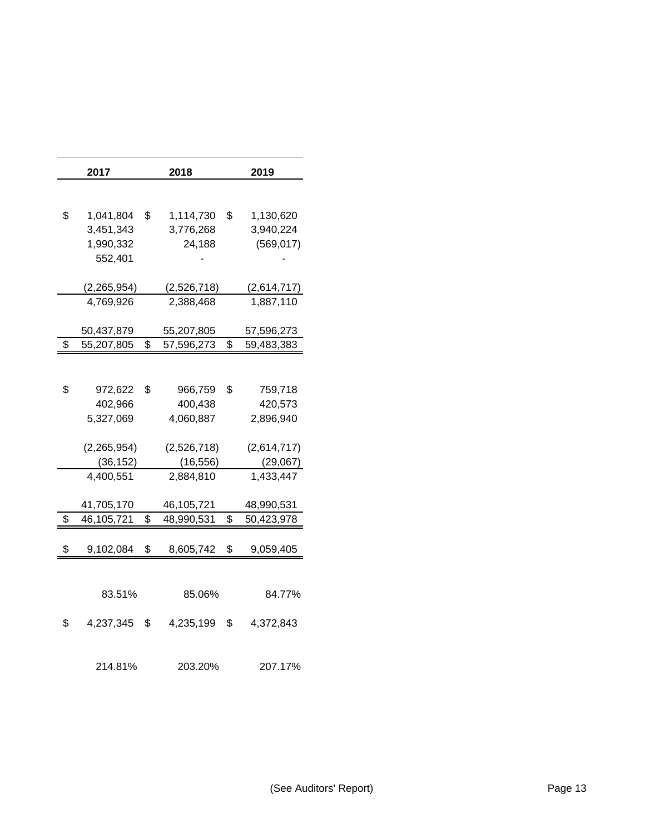| 2017             | 2018             | 2019             |
|------------------|------------------|------------------|
|                  |                  |                  |
|                  |                  |                  |
| \$<br>1,041,804  | \$<br>1,114,730  | \$<br>1,130,620  |
| 3,451,343        | 3,776,268        | 3,940,224        |
| 1,990,332        | 24,188           | (569, 017)       |
| 552,401          |                  |                  |
|                  |                  |                  |
| (2,265,954)      | (2,526,718)      | (2,614,717)      |
| 4,769,926        | 2,388,468        | 1,887,110        |
|                  |                  |                  |
| 50,437,879       | 55,207,805       | 57,596,273       |
| \$<br>55,207,805 | \$<br>57,596,273 | \$<br>59,483,383 |
|                  |                  |                  |
|                  |                  |                  |
| \$<br>972,622    | \$<br>966,759    | \$<br>759,718    |
| 402,966          | 400,438          | 420,573          |
| 5,327,069        | 4,060,887        | 2,896,940        |
|                  |                  |                  |
| (2, 265, 954)    | (2,526,718)      | (2,614,717)      |
| (36, 152)        | (16, 556)        | (29,067)         |
| 4,400,551        | 2,884,810        | 1,433,447        |
|                  |                  |                  |
| 41,705,170       | 46,105,721       | 48,990,531       |
| \$<br>46,105,721 | \$<br>48,990,531 | \$<br>50,423,978 |
|                  |                  |                  |
| \$<br>9,102,084  | \$<br>8,605,742  | \$<br>9,059,405  |
|                  |                  |                  |
|                  |                  |                  |
| 83.51%           | 85.06%           | 84.77%           |
|                  |                  |                  |
| \$<br>4,237,345  | \$<br>4,235,199  | \$<br>4,372,843  |
|                  |                  |                  |
|                  |                  |                  |
| 214.81%          | 203.20%          | 207.17%          |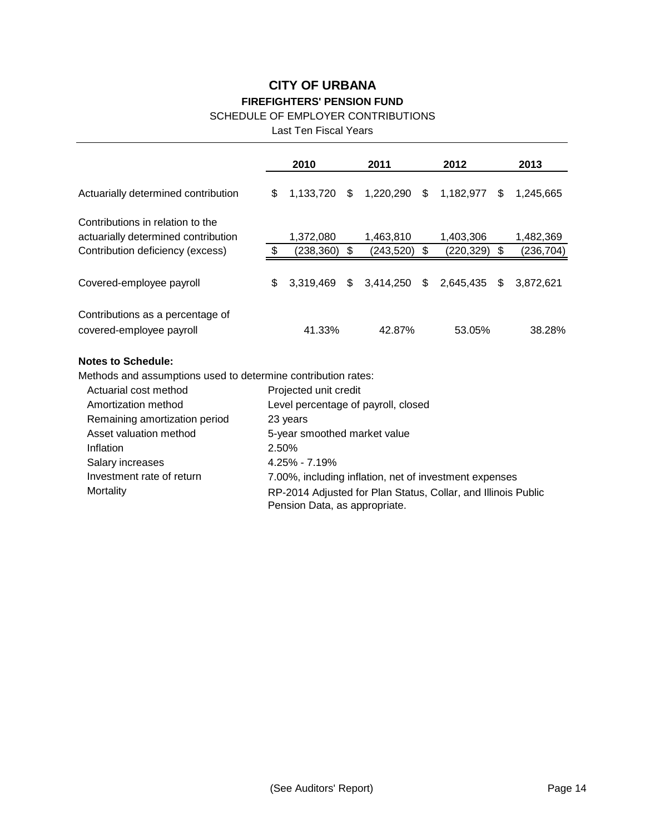# SCHEDULE OF EMPLOYER CONTRIBUTIONS

Last Ten Fiscal Years

|                                                               | 2010                                                   |                   | 2011 |              | 2012 |           |    | 2013      |
|---------------------------------------------------------------|--------------------------------------------------------|-------------------|------|--------------|------|-----------|----|-----------|
| Actuarially determined contribution                           | \$                                                     | 1,133,720         | \$   | 1,220,290 \$ |      | 1,182,977 | S. | 1,245,665 |
| Contributions in relation to the                              |                                                        |                   |      |              |      |           |    |           |
| actuarially determined contribution                           |                                                        | 1,372,080         |      | 1,463,810    |      | 1,403,306 |    | 1,482,369 |
| Contribution deficiency (excess)                              | S                                                      | (238, 360)        | \$   | (243,520)    | \$   | (220,329) | \$ | (236,704) |
| Covered-employee payroll                                      | \$                                                     | 3,319,469         | \$   | 3,414,250    | S.   | 2,645,435 | \$ | 3,872,621 |
| Contributions as a percentage of                              |                                                        |                   |      |              |      |           |    |           |
| covered-employee payroll                                      | 41.33%                                                 |                   |      | 42.87%       |      | 53.05%    |    | 38.28%    |
| <b>Notes to Schedule:</b>                                     |                                                        |                   |      |              |      |           |    |           |
| Methods and assumptions used to determine contribution rates: |                                                        |                   |      |              |      |           |    |           |
| Actuarial cost method                                         | Projected unit credit                                  |                   |      |              |      |           |    |           |
| Amortization method                                           | Level percentage of payroll, closed                    |                   |      |              |      |           |    |           |
| Remaining amortization period                                 | 23 years                                               |                   |      |              |      |           |    |           |
| Asset valuation method                                        | 5-year smoothed market value                           |                   |      |              |      |           |    |           |
| Inflation                                                     | 2.50%                                                  |                   |      |              |      |           |    |           |
| Salary increases                                              |                                                        | $4.25\% - 7.19\%$ |      |              |      |           |    |           |
| Investment rate of return                                     | 7.00%, including inflation, net of investment expenses |                   |      |              |      |           |    |           |

**Mortality** 

Pension Data, as appropriate.

RP-2014 Adjusted for Plan Status, Collar, and Illinois Public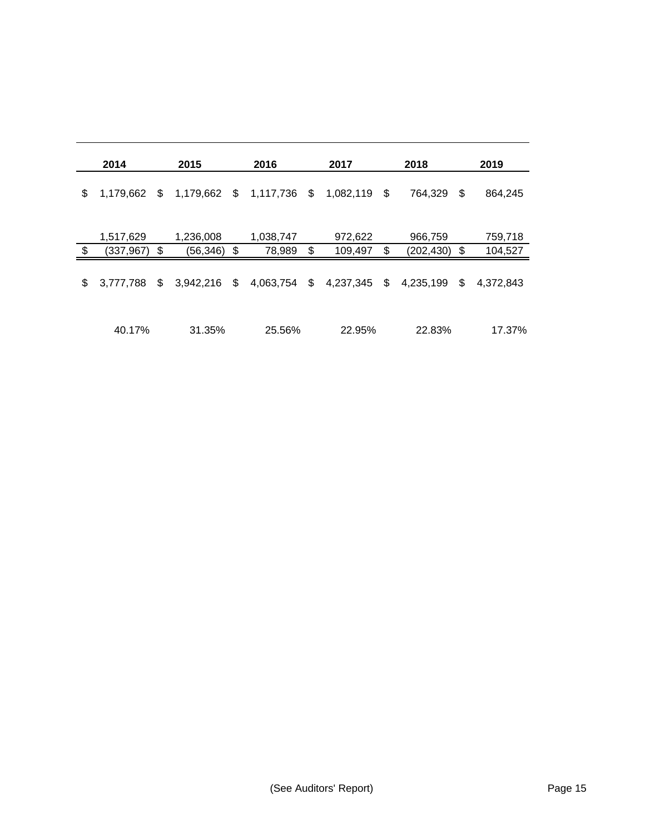|                           | 2014                    |    | 2015                  | 2016                      |               | 2017               | 2018                        | 2019                     |
|---------------------------|-------------------------|----|-----------------------|---------------------------|---------------|--------------------|-----------------------------|--------------------------|
| \$                        | 1,179,662               | S. | 1,179,662             | \$<br>1,117,736           | \$            | 1,082,119 \$       | 764,329                     | \$<br>864,245            |
| $\boldsymbol{\mathsf{S}}$ | 1,517,629<br>(337, 967) | \$ | 1,236,008<br>(56,346) | \$<br>1,038,747<br>78,989 | \$            | 972,622<br>109,497 | \$<br>966,759<br>(202, 430) | \$<br>759,718<br>104,527 |
| \$                        | 3,777,788               | \$ | 3,942,216             | \$<br>4,063,754           | $\mathsf{\$}$ | 4,237,345          | \$<br>4,235,199             | \$<br>4,372,843          |
|                           | 40.17%                  |    | 31.35%                | 25.56%                    |               | 22.95%             | 22.83%                      | 17.37%                   |